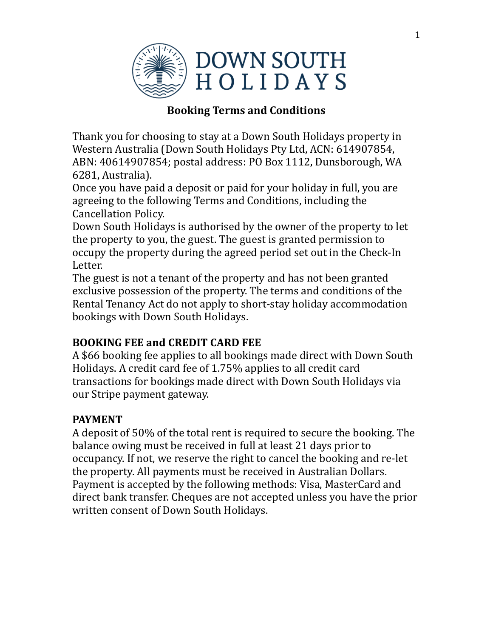

## **Booking Terms and Conditions**

Thank you for choosing to stay at a Down South Holidays property in Western Australia (Down South Holidays Pty Ltd, ACN: 614907854, ABN: 40614907854; postal address: PO Box 1112, Dunsborough, WA 6281, Australia).

Once you have paid a deposit or paid for your holiday in full, you are agreeing to the following Terms and Conditions, including the Cancellation Policy.

Down South Holidays is authorised by the owner of the property to let the property to you, the guest. The guest is granted permission to occupy the property during the agreed period set out in the Check-In Letter. 

The guest is not a tenant of the property and has not been granted exclusive possession of the property. The terms and conditions of the Rental Tenancy Act do not apply to short-stay holiday accommodation bookings with Down South Holidays.

## **BOOKING FEE and CREDIT CARD FEE**

A \$66 booking fee applies to all bookings made direct with Down South Holidays. A credit card fee of 1.75% applies to all credit card transactions for bookings made direct with Down South Holidays via our Stripe payment gateway.

## **PAYMENT**

A deposit of 50% of the total rent is required to secure the booking. The balance owing must be received in full at least 21 days prior to occupancy. If not, we reserve the right to cancel the booking and re-let the property. All payments must be received in Australian Dollars. Payment is accepted by the following methods: Visa, MasterCard and direct bank transfer. Cheques are not accepted unless you have the prior written consent of Down South Holidays.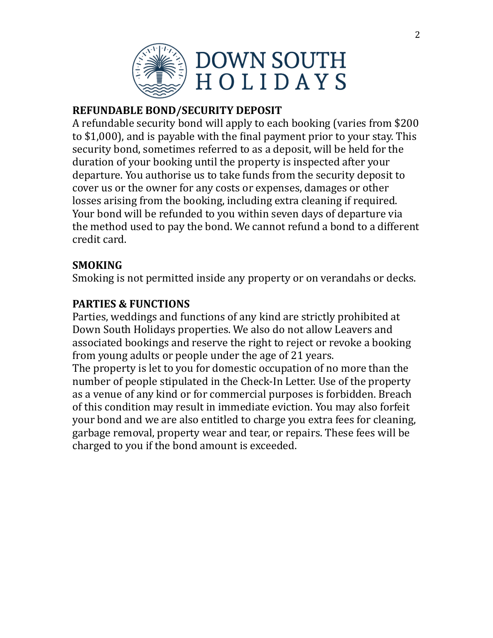

## **REFUNDABLE BOND/SECURITY DEPOSIT**

A refundable security bond will apply to each booking (varies from \$200) to  $$1,000$ ), and is payable with the final payment prior to your stay. This security bond, sometimes referred to as a deposit, will be held for the duration of your booking until the property is inspected after your departure. You authorise us to take funds from the security deposit to cover us or the owner for any costs or expenses, damages or other losses arising from the booking, including extra cleaning if required. Your bond will be refunded to you within seven days of departure via the method used to pay the bond. We cannot refund a bond to a different credit card.

## **SMOKING**

Smoking is not permitted inside any property or on verandahs or decks.

## **PARTIES & FUNCTIONS**

Parties, weddings and functions of any kind are strictly prohibited at Down South Holidays properties. We also do not allow Leavers and associated bookings and reserve the right to reject or revoke a booking from young adults or people under the age of 21 years.

The property is let to you for domestic occupation of no more than the number of people stipulated in the Check-In Letter. Use of the property as a venue of any kind or for commercial purposes is forbidden. Breach of this condition may result in immediate eviction. You may also forfeit your bond and we are also entitled to charge you extra fees for cleaning, garbage removal, property wear and tear, or repairs. These fees will be charged to you if the bond amount is exceeded.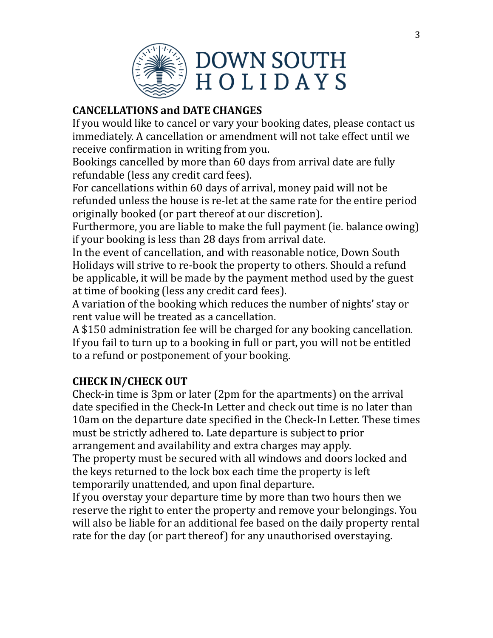

## **CANCELLATIONS and DATE CHANGES**

If you would like to cancel or vary your booking dates, please contact us immediately. A cancellation or amendment will not take effect until we receive confirmation in writing from you.

Bookings cancelled by more than 60 days from arrival date are fully refundable (less any credit card fees).

For cancellations within 60 days of arrival, money paid will not be refunded unless the house is re-let at the same rate for the entire period originally booked (or part thereof at our discretion).

Furthermore, you are liable to make the full payment (ie. balance owing) if your booking is less than 28 days from arrival date.

In the event of cancellation, and with reasonable notice, Down South Holidays will strive to re-book the property to others. Should a refund be applicable, it will be made by the payment method used by the guest at time of booking (less any credit card fees).

A variation of the booking which reduces the number of nights' stay or rent value will be treated as a cancellation.

A \$150 administration fee will be charged for any booking cancellation. If you fail to turn up to a booking in full or part, you will not be entitled to a refund or postponement of your booking.

## **CHECK IN/CHECK OUT**

Check-in time is  $3\text{pm}$  or later ( $2\text{pm}$  for the apartments) on the arrival date specified in the Check-In Letter and check out time is no later than 10am on the departure date specified in the Check-In Letter. These times must be strictly adhered to. Late departure is subject to prior arrangement and availability and extra charges may apply. The property must be secured with all windows and doors locked and the keys returned to the lock box each time the property is left temporarily unattended, and upon final departure.

If you overstay your departure time by more than two hours then we reserve the right to enter the property and remove your belongings. You will also be liable for an additional fee based on the daily property rental rate for the day (or part thereof) for any unauthorised overstaying.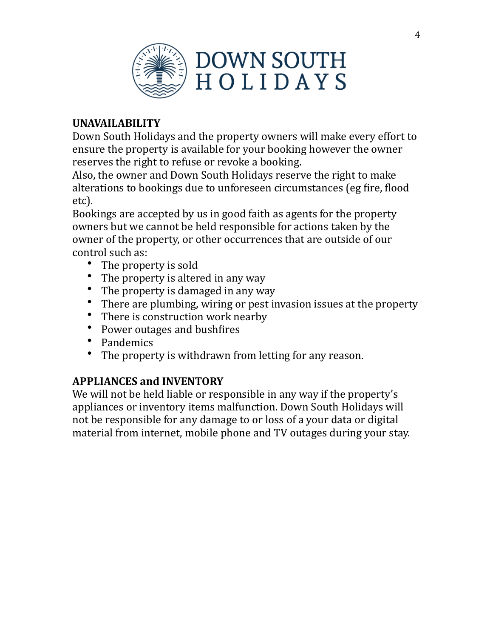

## **UNAVAILABILITY**

Down South Holidays and the property owners will make every effort to ensure the property is available for your booking however the owner reserves the right to refuse or revoke a booking.

Also, the owner and Down South Holidays reserve the right to make alterations to bookings due to unforeseen circumstances (eg fire, flood etc). 

Bookings are accepted by us in good faith as agents for the property owners but we cannot be held responsible for actions taken by the owner of the property, or other occurrences that are outside of our control such as:

- The property is sold
- The property is altered in any way
- The property is damaged in any way
- There are plumbing, wiring or pest invasion issues at the property
- There is construction work nearby
- Power outages and bushfires
- Pandemics
- The property is withdrawn from letting for any reason.

## **APPLIANCES and INVENTORY**

We will not be held liable or responsible in any way if the property's appliances or inventory items malfunction. Down South Holidays will not be responsible for any damage to or loss of a your data or digital material from internet, mobile phone and TV outages during your stay.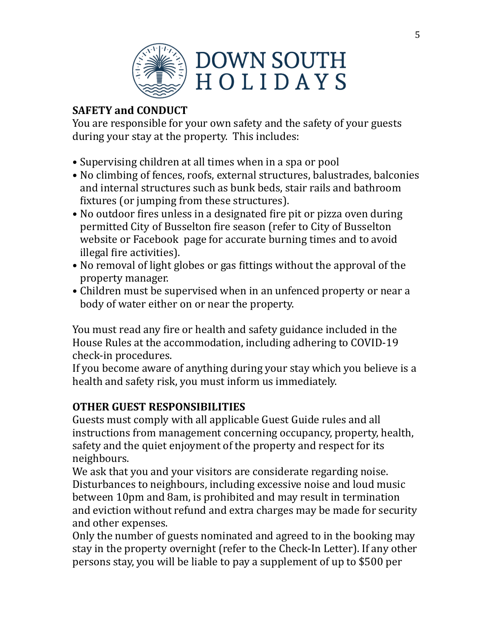

# **SAFETY and CONDUCT**

You are responsible for your own safety and the safety of your guests during your stay at the property. This includes:

- Supervising children at all times when in a spa or pool
- No climbing of fences, roofs, external structures, balustrades, balconies and internal structures such as bunk beds, stair rails and bathroom fixtures (or jumping from these structures).
- No outdoor fires unless in a designated fire pit or pizza oven during permitted City of Busselton fire season (refer to City of Busselton website or Facebook page for accurate burning times and to avoid illegal fire activities).
- No removal of light globes or gas fittings without the approval of the property manager.
- Children must be supervised when in an unfenced property or near a body of water either on or near the property.

You must read any fire or health and safety guidance included in the House Rules at the accommodation, including adhering to COVID-19 check-in procedures.

If you become aware of anything during your stay which you believe is a health and safety risk, you must inform us immediately.

# **OTHER GUEST RESPONSIBILITIES**

Guests must comply with all applicable Guest Guide rules and all instructions from management concerning occupancy, property, health, safety and the quiet enjoyment of the property and respect for its neighbours. 

We ask that you and your visitors are considerate regarding noise. Disturbances to neighbours, including excessive noise and loud music between 10pm and 8am, is prohibited and may result in termination and eviction without refund and extra charges may be made for security and other expenses.

Only the number of guests nominated and agreed to in the booking may stay in the property overnight (refer to the Check-In Letter). If any other persons stay, you will be liable to pay a supplement of up to \$500 per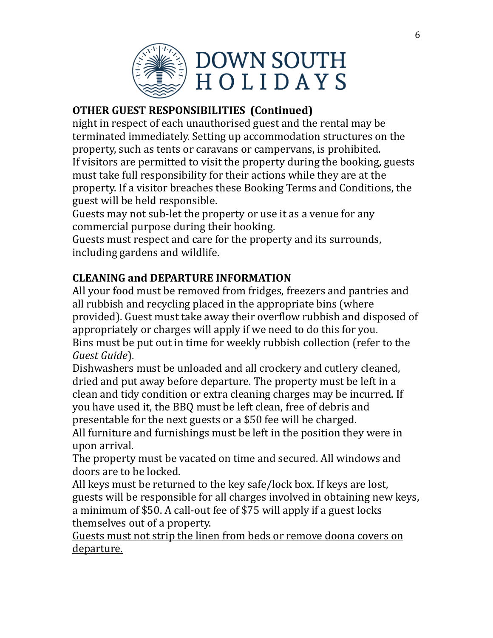

## **OTHER GUEST RESPONSIBILITIES (Continued)**

night in respect of each unauthorised guest and the rental may be terminated immediately. Setting up accommodation structures on the property, such as tents or caravans or campervans, is prohibited. If visitors are permitted to visit the property during the booking, guests must take full responsibility for their actions while they are at the property. If a visitor breaches these Booking Terms and Conditions, the guest will be held responsible.

Guests may not sub-let the property or use it as a venue for any commercial purpose during their booking.

Guests must respect and care for the property and its surrounds, including gardens and wildlife.

## **CLEANING and DEPARTURE INFORMATION**

All your food must be removed from fridges, freezers and pantries and all rubbish and recycling placed in the appropriate bins (where provided). Guest must take away their overflow rubbish and disposed of appropriately or charges will apply if we need to do this for you. Bins must be put out in time for weekly rubbish collection (refer to the *Guest Guide*). 

Dishwashers must be unloaded and all crockery and cutlery cleaned, dried and put away before departure. The property must be left in a clean and tidy condition or extra cleaning charges may be incurred. If you have used it, the BBQ must be left clean, free of debris and presentable for the next guests or a \$50 fee will be charged.

All furniture and furnishings must be left in the position they were in upon arrival. 

The property must be vacated on time and secured. All windows and doors are to be locked.

All keys must be returned to the key safe/lock box. If keys are lost, guests will be responsible for all charges involved in obtaining new keys, a minimum of \$50. A call-out fee of \$75 will apply if a guest locks themselves out of a property.

Guests must not strip the linen from beds or remove doona covers on departure.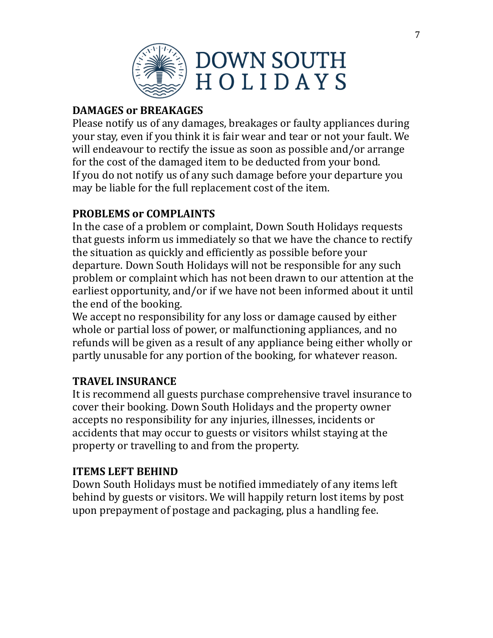

# **DAMAGES or BREAKAGES**

Please notify us of any damages, breakages or faulty appliances during your stay, even if you think it is fair wear and tear or not your fault. We will endeavour to rectify the issue as soon as possible and/or arrange for the cost of the damaged item to be deducted from your bond. If you do not notify us of any such damage before your departure you may be liable for the full replacement cost of the item.

#### **PROBLEMS or COMPLAINTS**

In the case of a problem or complaint, Down South Holidays requests that guests inform us immediately so that we have the chance to rectify the situation as quickly and efficiently as possible before your departure. Down South Holidays will not be responsible for any such problem or complaint which has not been drawn to our attention at the earliest opportunity, and/or if we have not been informed about it until the end of the booking.

We accept no responsibility for any loss or damage caused by either whole or partial loss of power, or malfunctioning appliances, and no refunds will be given as a result of any appliance being either wholly or partly unusable for any portion of the booking, for whatever reason.

#### **TRAVEL INSURANCE**

It is recommend all guests purchase comprehensive travel insurance to cover their booking. Down South Holidays and the property owner accepts no responsibility for any injuries, illnesses, incidents or accidents that may occur to guests or visitors whilst staying at the property or travelling to and from the property.

#### **ITEMS LEFT BEHIND**

Down South Holidays must be notified immediately of any items left behind by guests or visitors. We will happily return lost items by post upon prepayment of postage and packaging, plus a handling fee.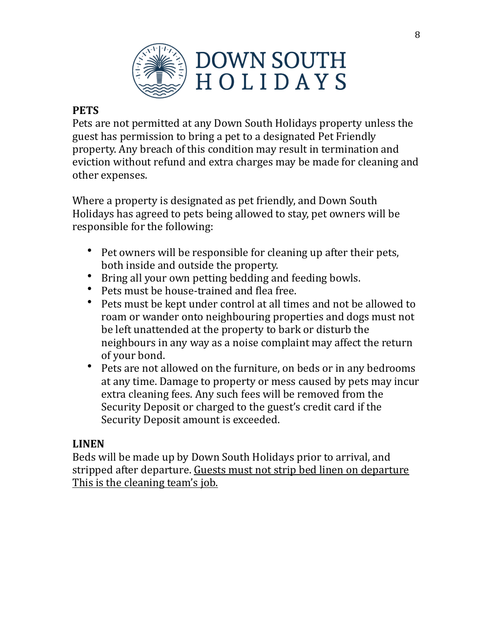

#### **PETS**

Pets are not permitted at any Down South Holidays property unless the guest has permission to bring a pet to a designated Pet Friendly property. Any breach of this condition may result in termination and eviction without refund and extra charges may be made for cleaning and other expenses.

Where a property is designated as pet friendly, and Down South Holidays has agreed to pets being allowed to stay, pet owners will be responsible for the following:

- Pet owners will be responsible for cleaning up after their pets, both inside and outside the property.
- Bring all your own petting bedding and feeding bowls.
- Pets must be house-trained and flea free.
- Pets must be kept under control at all times and not be allowed to roam or wander onto neighbouring properties and dogs must not be left unattended at the property to bark or disturb the neighbours in any way as a noise complaint may affect the return of your bond.
- Pets are not allowed on the furniture, on beds or in any bedrooms at any time. Damage to property or mess caused by pets may incur extra cleaning fees. Any such fees will be removed from the Security Deposit or charged to the guest's credit card if the Security Deposit amount is exceeded.

#### **LINEN**

Beds will be made up by Down South Holidays prior to arrival, and stripped after departure. Guests must not strip bed linen on departure This is the cleaning team's job.